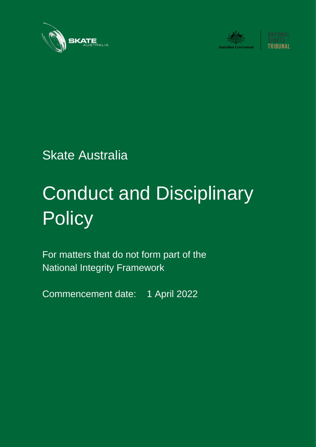





Skate Australia

# Conduct and Disciplinary **Policy**

For matters that do not form part of the National Integrity Framework

Commencement date: 1 April 2022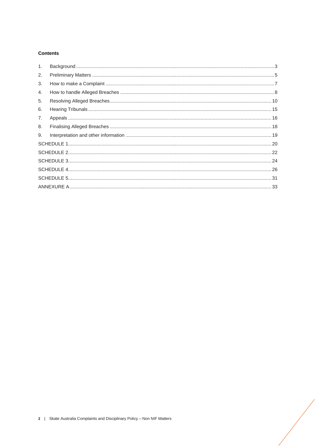# **Contents**

| 1. |  |
|----|--|
| 2. |  |
| 3. |  |
| 4. |  |
| 5. |  |
| 6. |  |
| 7. |  |
| 8. |  |
| 9. |  |
|    |  |
|    |  |
|    |  |
|    |  |
|    |  |
|    |  |
|    |  |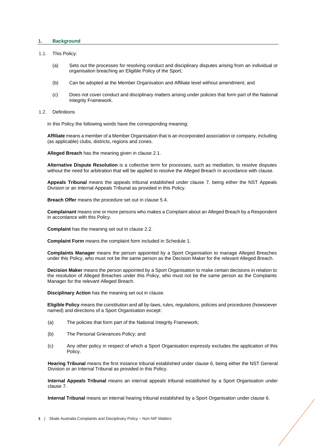## <span id="page-2-0"></span>**1. Background**

#### 1.1. This Policy:

- (a) Sets out the processes for resolving conduct and disciplinary disputes arising from an individual or organisation breaching an Eligible Policy of the Sport;
- (b) Can be adopted at the Member Organisation and Affiliate level without amendment; and
- (c) Does not cover conduct and disciplinary matters arising under policies that form part of the National Integrity Framework.
- 1.2. Definitions

In this Policy the following words have the corresponding meaning:

**Affiliate** means a member of a Member Organisation that is an incorporated association or company, including (as applicable) clubs, districts, regions and zones.

**Alleged Breach** has the meaning given in clause [2.1.](#page-4-1)

**Alternative Dispute Resolution** is a collective term for processes, such as mediation, to resolve disputes without the need for arbitration that will be applied to resolve the Alleged Breach in accordance with clause.

**Appeals Tribunal** means the appeals tribunal established under clause [7,](#page-15-0) being either the NST Appeals Division or an Internal Appeals Tribunal as provided in this Policy.

**Breach Offer** means the procedure set out in clause [5.4.](#page-11-0)

**Complainant** means one or more persons who makes a Complaint about an Alleged Breach by a Respondent in accordance with this Policy.

**Complaint** has the meaning set out in clause [2.2.](#page-4-2)

**Complaint Form** means the complaint form included in Schedule 1.

**Complaints Manager** means the person appointed by a Sport Organisation to manage Alleged Breaches under this Policy, who must not be the same person as the Decision Maker for the relevant Alleged Breach.

**Decision Maker** means the person appointed by a Sport Organisation to make certain decisions in relation to the resolution of Alleged Breaches under this Policy, who must not be the same person as the Complaints Manager for the relevant Alleged Breach.

**Disciplinary Action** has the meaning set out in clause.

**Eligible Policy** means the constitution and all by-laws, rules, regulations, policies and procedures (howsoever named) and directions of a Sport Organisation except:

- (a) The policies that form part of the National Integrity Framework;
- (b) The Personal Grievances Policy; and
- (c) Any other policy in respect of which a Sport Organisation expressly excludes the application of this Policy.

**Hearing Tribunal** means the first instance tribunal established under clause [6,](#page-14-0) being either the NST General Division or an Internal Tribunal as provided in this Policy.

**Internal Appeals Tribunal** means an internal appeals tribunal established by a Sport Organisation under claus[e 7.](#page-15-0)

**Internal Tribunal** means an internal hearing tribunal established by a Sport Organisation under claus[e 6.](#page-14-0)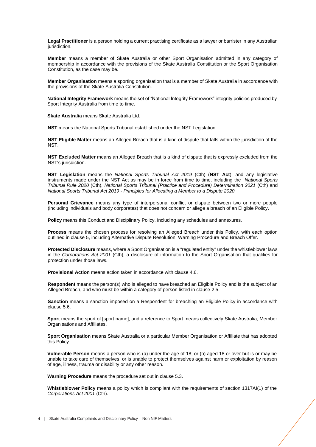**Legal Practitioner** is a person holding a current practising certificate as a lawyer or barrister in any Australian jurisdiction.

**Member** means a member of Skate Australia or other Sport Organisation admitted in any category of membership in accordance with the provisions of the Skate Australia Constitution or the Sport Organisation Constitution, as the case may be.

**Member Organisation** means a sporting organisation that is a member of Skate Australia in accordance with the provisions of the Skate Australia Constitution.

**National Integrity Framework** means the set of "National Integrity Framework" integrity policies produced by Sport Integrity Australia from time to time.

**Skate Australia** means Skate Australia Ltd.

**NST** means the National Sports Tribunal established under the NST Legislation.

**NST Eligible Matter** means an Alleged Breach that is a kind of dispute that falls within the jurisdiction of the NST.

**NST Excluded Matter** means an Alleged Breach that is a kind of dispute that is expressly excluded from the NST's jurisdiction.

**NST Legislation** means the *National Sports Tribunal Act 2019* (Cth) (**NST Act**), and any legislative instruments made under the NST Act as may be in force from time to time, including the *National Sports Tribunal Rule 2020* (Cth), *National Sports Tribunal (Practice and Procedure) Determination 2021* (Cth) and *National Sports Tribunal Act 2019 - Principles for Allocating a Member to a Dispute 2020*

**Personal Grievance** means any type of interpersonal conflict or dispute between two or more people (including individuals and body corporates) that does not concern or allege a breach of an Eligible Policy.

**Policy** means this Conduct and Disciplinary Policy, including any schedules and annexures.

**Process** means the chosen process for resolving an Alleged Breach under this Policy, with each option outlined in clause [5,](#page-9-0) including Alternative Dispute Resolution, Warning Procedure and Breach Offer.

**Protected Disclosure** means, where a Sport Organisation is a "regulated entity" under the whistleblower laws in the *Corporations Act 2001* (Cth), a disclosure of information to the Sport Organisation that qualifies for protection under those laws.

**Provisional Action** means action taken in accordance with clause [4.6.](#page-9-1)

**Respondent** means the person(s) who is alleged to have breached an Eligible Policy and is the subject of an Alleged Breach, and who must be within a category of person listed in clause [2.5.](#page-4-3)

**Sanction** means a sanction imposed on a Respondent for breaching an Eligible Policy in accordance with clause [5.6.](#page-13-0)

**Sport** means the sport of [sport name], and a reference to Sport means collectively Skate Australia, Member Organisations and Affiliates.

**Sport Organisation** means Skate Australia or a particular Member Organisation or Affiliate that has adopted this Policy.

**Vulnerable Person** means a person who is (a) under the age of 18; or (b) aged 18 or over but is or may be unable to take care of themselves, or is unable to protect themselves against harm or exploitation by reason of age, illness, trauma or disability or any other reason.

**Warning Procedure** means the procedure set out in clause [5.3.](#page-11-1)

**Whistleblower Policy** means a policy which is compliant with the requirements of section 1317AI(1) of the *Corporations Act 2001* (Cth).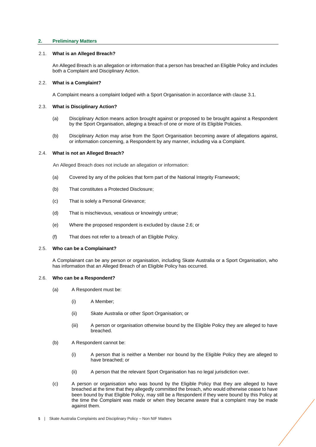# <span id="page-4-0"></span>**2. Preliminary Matters**

## 2.1. **What is an Alleged Breach?**

<span id="page-4-1"></span>An Alleged Breach is an allegation or information that a person has breached an Eligible Policy and includes both a Complaint and Disciplinary Action.

## <span id="page-4-2"></span>2.2. **What is a Complaint?**

A Complaint means a complaint lodged with a Sport Organisation in accordance with clause [3.1.](#page-6-1)

# 2.3. **What is Disciplinary Action?**

- (a) Disciplinary Action means action brought against or proposed to be brought against a Respondent by the Sport Organisation, alleging a breach of one or more of its Eligible Policies.
- (b) Disciplinary Action may arise from the Sport Organisation becoming aware of allegations against, or information concerning, a Respondent by any manner, including via a Complaint.

## <span id="page-4-5"></span>2.4. **What is not an Alleged Breach?**

An Alleged Breach does not include an allegation or information:

- (a) Covered by any of the policies that form part of the National Integrity Framework;
- (b) That constitutes a Protected Disclosure;
- (c) That is solely a Personal Grievance;
- (d) That is mischievous, vexatious or knowingly untrue;
- (e) Where the proposed respondent is excluded by clause [2.6;](#page-4-4) or
- (f) That does not refer to a breach of an Eligible Policy.

## <span id="page-4-3"></span>2.5. **Who can be a Complainant?**

A Complainant can be any person or organisation, including Skate Australia or a Sport Organisation, who has information that an Alleged Breach of an Eligible Policy has occurred.

## <span id="page-4-4"></span>2.6. **Who can be a Respondent?**

- (a) A Respondent must be:
	- (i) A Member;
	- (ii) Skate Australia or other Sport Organisation; or
	- (iii) A person or organisation otherwise bound by the Eligible Policy they are alleged to have breached.
- (b) A Respondent cannot be:
	- (i) A person that is neither a Member nor bound by the Eligible Policy they are alleged to have breached; or
	- (ii) A person that the relevant Sport Organisation has no legal jurisdiction over.
- (c) A person or organisation who was bound by the Eligible Policy that they are alleged to have breached at the time that they allegedly committed the breach, who would otherwise cease to have been bound by that Eligible Policy, may still be a Respondent if they were bound by this Policy at the time the Complaint was made or when they became aware that a complaint may be made against them.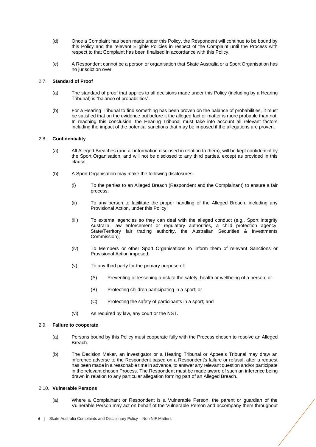- (d) Once a Complaint has been made under this Policy, the Respondent will continue to be bound by this Policy and the relevant Eligible Policies in respect of the Complaint until the Process with respect to that Complaint has been finalised in accordance with this Policy.
- (e) A Respondent cannot be a person or organisation that Skate Australia or a Sport Organisation has no jurisdiction over.

## <span id="page-5-0"></span>2.7. **Standard of Proof**

- (a) The standard of proof that applies to all decisions made under this Policy (including by a Hearing Tribunal) is "balance of probabilities".
- (b) For a Hearing Tribunal to find something has been proven on the balance of probabilities, it must be satisfied that on the evidence put before it the alleged fact or matter is more probable than not. In reaching this conclusion, the Hearing Tribunal must take into account all relevant factors including the impact of the potential sanctions that may be imposed if the allegations are proven.

## 2.8. **Confidentiality**

- (a) All Alleged Breaches (and all information disclosed in relation to them), will be kept confidential by the Sport Organisation, and will not be disclosed to any third parties, except as provided in this clause.
- (b) A Sport Organisation may make the following disclosures:
	- (i) To the parties to an Alleged Breach (Respondent and the Complainant) to ensure a fair process;
	- (ii) To any person to facilitate the proper handling of the Alleged Breach, including any Provisional Action, under this Policy;
	- (iii) To external agencies so they can deal with the alleged conduct (e.g., Sport Integrity Australia, law enforcement or regulatory authorities, a child protection agency, State/Territory fair trading authority, the Australian Securities & Investments Commission);
	- (iv) To Members or other Sport Organisations to inform them of relevant Sanctions or Provisional Action imposed;
	- (v) To any third party for the primary purpose of:
		- (A) Preventing or lessening a risk to the safety, health or wellbeing of a person; or
		- (B) Protecting children participating in a sport; or
		- (C) Protecting the safety of participants in a sport; and
	- (vi) As required by law, any court or the NST.

## 2.9. **Failure to cooperate**

- (a) Persons bound by this Policy must cooperate fully with the Process chosen to resolve an Alleged Breach.
- (b) The Decision Maker, an investigator or a Hearing Tribunal or Appeals Tribunal may draw an inference adverse to the Respondent based on a Respondent's failure or refusal, after a request has been made in a reasonable time in advance, to answer any relevant question and/or participate in the relevant chosen Process. The Respondent must be made aware of such an inference being drawn in relation to any particular allegation forming part of an Alleged Breach.

## 2.10. **Vulnerable Persons**

(a) Where a Complainant or Respondent is a Vulnerable Person, the parent or guardian of the Vulnerable Person may act on behalf of the Vulnerable Person and accompany them throughout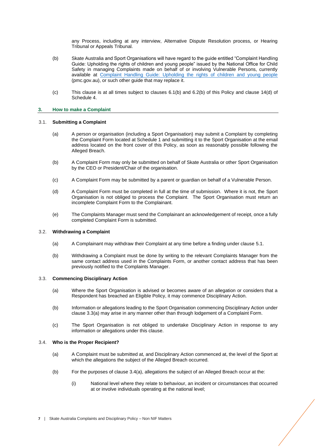any Process, including at any interview, Alternative Dispute Resolution process, or Hearing Tribunal or Appeals Tribunal.

- (b) Skate Australia and Sport Organisations will have regard to the guide entitled "Complaint Handling Guide: Upholding the rights of children and young people" issued by the National Office for Child Safety in managing Complaints made on behalf of or involving Vulnerable Persons, currently available at [Complaint Handling Guide: Upholding the rights of children and young people](https://childsafety.pmc.gov.au/sites/default/files/2020-09/nocs-complaint-handling-guide.pdf) (pmc.gov.au), or such other guide that may replace it.
- (c) This clause is at all times subject to clauses [6.1](#page-14-1)[\(b\)](#page-14-2) and [6.2\(](#page-14-3)b) of this Policy and clause 14(d) of Schedule 4.

## <span id="page-6-0"></span>**3. How to make a Complaint**

## 3.1. **Submitting a Complaint**

- <span id="page-6-1"></span>(a) A person or organisation (including a Sport Organisation) may submit a Complaint by completing the Complaint Form located at Schedule 1 and submitting it to the Sport Organisation at the email address located on the front cover of this Policy, as soon as reasonably possible following the Alleged Breach.
- (b) A Complaint Form may only be submitted on behalf of Skate Australia or other Sport Organisation by the CEO or President/Chair of the organisation.
- (c) A Complaint Form may be submitted by a parent or guardian on behalf of a Vulnerable Person.
- (d) A Complaint Form must be completed in full at the time of submission. Where it is not, the Sport Organisation is not obliged to process the Complaint. The Sport Organisation must return an incomplete Complaint Form to the Complainant.
- (e) The Complaints Manager must send the Complainant an acknowledgement of receipt, once a fully completed Complaint Form is submitted.

## 3.2. **Withdrawing a Complaint**

- (a) A Complainant may withdraw their Complaint at any time before a finding under clause [5.1.](#page-9-2)
- (b) Withdrawing a Complaint must be done by writing to the relevant Complaints Manager from the same contact address used in the Complaints Form, or another contact address that has been previously notified to the Complaints Manager.

## <span id="page-6-2"></span>3.3. **Commencing Disciplinary Action**

- (a) Where the Sport Organisation is advised or becomes aware of an allegation or considers that a Respondent has breached an Eligible Policy, it may commence Disciplinary Action.
- <span id="page-6-4"></span>(b) Information or allegations leading to the Sport Organisation commencing Disciplinary Action under claus[e 3.3\(](#page-6-2)a) may arise in any manner other than through lodgement of a Complaint Form.
- <span id="page-6-5"></span>(c) The Sport Organisation is not obliged to undertake Disciplinary Action in response to any information or allegations under this clause.

## <span id="page-6-3"></span>3.4. **Who is the Proper Recipient?**

- (a) A Complaint must be submitted at, and Disciplinary Action commenced at, the level of the Sport at which the allegations the subject of the Alleged Breach occurred.
- (b) For the purposes of clause [3.4\(](#page-6-3)a), allegations the subject of an Alleged Breach occur at the:
	- (i) National level where they relate to behaviour, an incident or circumstances that occurred at or involve individuals operating at the national level;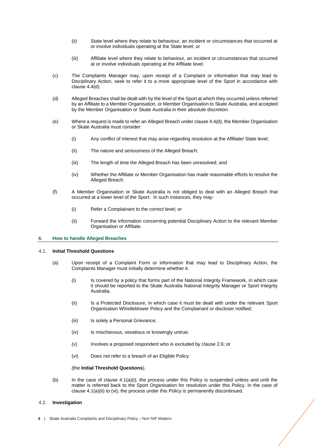- (ii) State level where they relate to behaviour, an incident or circumstances that occurred at or involve individuals operating at the State level; or
- (iii) Affiliate level where they relate to behaviour, an incident or circumstances that occurred at or involve individuals operating at the Affiliate level.
- (c) The Complaints Manager may, upon receipt of a Complaint or information that may lead to Disciplinary Action, seek to refer it to a more appropriate level of the Sport in accordance with claus[e 4.4\(](#page-8-0)d).
- (d) Alleged Breaches shall be dealt with by the level of the Sport at which they occurred unless referred by an Affiliate to a Member Organisation, or Member Organisation to Skate Australia, and accepted by the Member Organisation or Skate Australia in their absolute discretion.
- (e) Where a request is made to refer an Alleged Breach under claus[e 4.4\(](#page-8-0)d), the Member Organisation or Skate Australia must consider:
	- (i) Any conflict of interest that may arise regarding resolution at the Affiliate/ State level;
	- (ii) The nature and seriousness of the Alleged Breach;
	- (iii) The length of time the Alleged Breach has been unresolved; and
	- (iv) Whether the Affiliate or Member Organisation has made reasonable efforts to resolve the Alleged Breach.
- (f) A Member Organisation or Skate Australia is not obliged to deal with an Alleged Breach that occurred at a lower level of the Sport. In such instances, they may:
	- (i) Refer a Complainant to the correct level; or
	- (ii) Forward the information concerning potential Disciplinary Action to the relevant Member Organisation or Affiliate.

## <span id="page-7-0"></span>**4. How to handle Alleged Breaches**

#### 4.1. **Initial Threshold Questions**

- <span id="page-7-1"></span>(a) Upon receipt of a Complaint Form or information that may lead to Disciplinary Action, the Complaints Manager must initially determine whether it:
	- (i) Is covered by a policy that forms part of the National Integrity Framework, in which case it should be reported to the Skate Australia National Integrity Manager or Sport Integrity Australia.
	- (ii) Is a Protected Disclosure, in which case it must be dealt with under the relevant Sport Organisation Whistleblower Policy and the Complainant or discloser notified;
	- (iii) Is solely a Personal Grievance:
	- (iv) Is mischievous, vexatious or knowingly untrue;
	- (v) Involves a proposed respondent who is excluded by claus[e 2.6;](#page-4-4) or
	- (vi) Does not refer to a breach of an Eligible Policy

## (the **Initial Threshold Questions**).

(b) In the case of clause [4.1\(](#page-7-1)a)(i), the process under this Policy is suspended unless and until the matter is referred back to the Sport Organisation for resolution under this Policy. In the case of claus[e 4.1\(](#page-7-1)a)(ii) to (vi), the process under this Policy is permanently discontinued.

#### <span id="page-7-2"></span>4.2. **Investigation**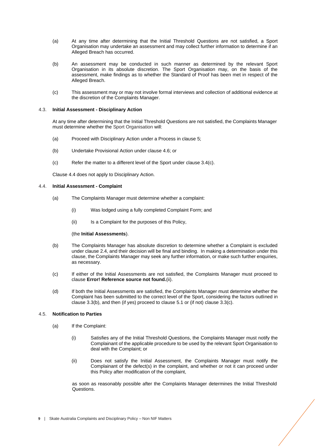- (a) At any time after determining that the Initial Threshold Questions are not satisfied, a Sport Organisation may undertake an assessment and may collect further information to determine if an Alleged Breach has occurred.
- (b) An assessment may be conducted in such manner as determined by the relevant Sport Organisation in its absolute discretion. The Sport Organisation may, on the basis of the assessment, make findings as to whether the Standard of Proof has been met in respect of the Alleged Breach.
- (c) This assessment may or may not involve formal interviews and collection of additional evidence at the discretion of the Complaints Manager.

## 4.3. **Initial Assessment - Disciplinary Action**

At any time after determining that the Initial Threshold Questions are not satisfied, the Complaints Manager must determine whether the Sport Organisation will:

- (a) Proceed with Disciplinary Action under a Process in clause [5;](#page-9-0)
- (b) Undertake Provisional Action under clause [4.6;](#page-9-1) or
- (c) Refer the matter to a different level of the Sport under clause [3.4\(](#page-6-3)c).

Claus[e 4.4](#page-8-0) does not apply to Disciplinary Action.

## <span id="page-8-0"></span>4.4. **Initial Assessment - Complaint**

- (a) The Complaints Manager must determine whether a complaint:
	- (i) Was lodged using a fully completed Complaint Form; and
	- (ii) Is a Complaint for the purposes of this Policy,

#### (the **Initial Assessments**).

- (b) The Complaints Manager has absolute discretion to determine whether a Complaint is excluded under clause [2.4,](#page-4-5) and their decision will be final and binding. In making a determination under this clause, the Complaints Manager may seek any further information, or make such further enquiries, as necessary.
- (c) If either of the Initial Assessments are not satisfied, the Complaints Manager must proceed to clause **Error! Reference source not found.**[\(ii\).](#page-8-1)
- (d) If both the Initial Assessments are satisfied, the Complaints Manager must determine whether the Complaint has been submitted to the correct level of the Sport, considering the factors outlined in clause [3.3](#page-6-2)[\(b\),](#page-6-4) and then (if yes) proceed to claus[e 5.1](#page-9-2) or (if not) clause [3.3](#page-6-2)[\(c\).](#page-6-5)

## 4.5. **Notification to Parties**

- <span id="page-8-1"></span>(a) If the Complaint:
	- (i) Satisfies any of the Initial Threshold Questions, the Complaints Manager must notify the Complainant of the applicable procedure to be used by the relevant Sport Organisation to deal with the Complaint; or
	- (ii) Does not satisfy the Initial Assessment, the Complaints Manager must notify the Complainant of the defect(s) in the complaint, and whether or not it can proceed under this Policy after modification of the complaint,

as soon as reasonably possible after the Complaints Manager determines the Initial Threshold Questions.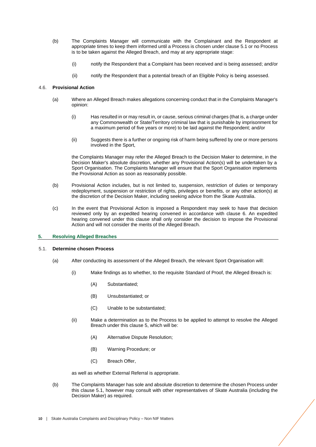- (b) The Complaints Manager will communicate with the Complainant and the Respondent at appropriate times to keep them informed until a Process is chosen under clause [5.1](#page-9-2) or no Process is to be taken against the Alleged Breach, and may at any appropriate stage:
	- (i) notify the Respondent that a Complaint has been received and is being assessed; and/or
	- (ii) notify the Respondent that a potential breach of an Eligible Policy is being assessed.

## <span id="page-9-1"></span>4.6. **Provisional Action**

- (a) Where an Alleged Breach makes allegations concerning conduct that in the Complaints Manager's opinion:
	- (i) Has resulted in or may result in, or cause, serious criminal charges (that is, a charge under any Commonwealth or State/Territory criminal law that is punishable by imprisonment for a maximum period of five years or more) to be laid against the Respondent; and/or
	- (ii) Suggests there is a further or ongoing risk of harm being suffered by one or more persons involved in the Sport,

the Complaints Manager may refer the Alleged Breach to the Decision Maker to determine, in the Decision Maker's absolute discretion, whether any Provisional Action(s) will be undertaken by a Sport Organisation. The Complaints Manager will ensure that the Sport Organisation implements the Provisional Action as soon as reasonably possible.

- (b) Provisional Action includes, but is not limited to, suspension, restriction of duties or temporary redeployment, suspension or restriction of rights, privileges or benefits, or any other action(s) at the discretion of the Decision Maker, including seeking advice from the Skate Australia.
- (c) In the event that Provisional Action is imposed a Respondent may seek to have that decision reviewed only by an expedited hearing convened in accordance with clause 6. An expedited hearing convened under this clause shall only consider the decision to impose the Provisional Action and will not consider the merits of the Alleged Breach.

## <span id="page-9-0"></span>**5. Resolving Alleged Breaches**

## 5.1. **Determine chosen Process**

- <span id="page-9-2"></span>(a) After conducting its assessment of the Alleged Breach, the relevant Sport Organisation will:
	- (i) Make findings as to whether, to the requisite Standard of Proof, the Alleged Breach is:
		- (A) Substantiated;
		- (B) Unsubstantiated; or
		- (C) Unable to be substantiated;
	- (ii) Make a determination as to the Process to be applied to attempt to resolve the Alleged Breach under this clause [5,](#page-9-0) which will be:
		- (A) Alternative Dispute Resolution;
		- (B) Warning Procedure; or
		- (C) Breach Offer,

as well as whether External Referral is appropriate.

(b) The Complaints Manager has sole and absolute discretion to determine the chosen Process under this clause [5.1,](#page-9-2) however may consult with other representatives of Skate Australia (including the Decision Maker) as required.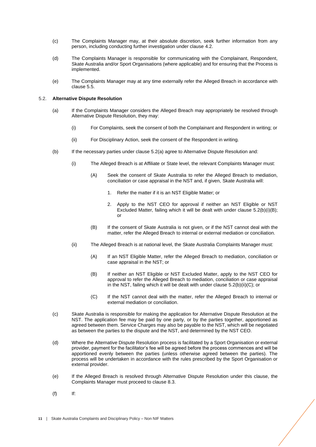- (c) The Complaints Manager may, at their absolute discretion, seek further information from any person, including conducting further investigation under clause [4.2.](#page-7-2)
- (d) The Complaints Manager is responsible for communicating with the Complainant, Respondent, Skate Australia and/or Sport Organisations (where applicable) and for ensuring that the Process is implemented.
- (e) The Complaints Manager may at any time externally refer the Alleged Breach in accordance with clause [5.5.](#page-13-1)

## <span id="page-10-1"></span><span id="page-10-0"></span>5.2. **Alternative Dispute Resolution**

- (a) If the Complaints Manager considers the Alleged Breach may appropriately be resolved through Alternative Dispute Resolution, they may:
	- (i) For Complaints, seek the consent of both the Complainant and Respondent in writing; or
	- (ii) For Disciplinary Action, seek the consent of the Respondent in writing.
- <span id="page-10-2"></span>(b) If the necessary parties under claus[e 5.2](#page-10-0)[\(a\)](#page-10-1) agree to Alternative Dispute Resolution and:
	- (i) The Alleged Breach is at Affiliate or State level, the relevant Complaints Manager must:
		- (A) Seek the consent of Skate Australia to refer the Alleged Breach to mediation, conciliation or case appraisal in the NST and, if given, Skate Australia will:
			- 1. Refer the matter if it is an NST Eligible Matter; or
			- 2. Apply to the NST CEO for approval if neither an NST Eligible or NST Excluded Matter, failing which it will be dealt with under clause [5.2\(](#page-10-0)b)(i)(B); or
		- (B) If the consent of Skate Australia is not given, or if the NST cannot deal with the matter, refer the Alleged Breach to internal or external mediation or conciliation.
	- (ii) The Alleged Breach is at national level, the Skate Australia Complaints Manager must:
		- (A) If an NST Eligible Matter, refer the Alleged Breach to mediation, conciliation or case appraisal in the NST; or
		- (B) If neither an NST Eligible or NST Excluded Matter, apply to the NST CEO for approval to refer the Alleged Breach to mediation, conciliation or case appraisal in the NST, failing which it will be dealt with under claus[e 5.2\(](#page-10-0)b)(ii)(C); or
		- (C) If the NST cannot deal with the matter, refer the Alleged Breach to internal or external mediation or conciliation.
- (c) Skate Australia is responsible for making the application for Alternative Dispute Resolution at the NST. The application fee may be paid by one party, or by the parties together, apportioned as agreed between them. Service Charges may also be payable to the NST, which will be negotiated as between the parties to the dispute and the NST, and determined by the NST CEO.
- (d) Where the Alternative Dispute Resolution process is facilitated by a Sport Organisation or external provider, payment for the facilitator's fee will be agreed before the process commences and will be apportioned evenly between the parties (unless otherwise agreed between the parties). The process will be undertaken in accordance with the rules prescribed by the Sport Organisation or external provider.
- (e) If the Alleged Breach is resolved through Alternative Dispute Resolution under this clause, the Complaints Manager must proceed to clause [8.3.](#page-17-1)
- $(f)$  If: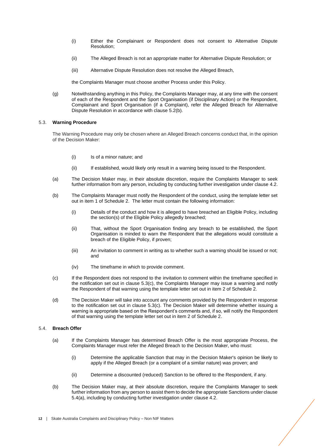- (i) Either the Complainant or Respondent does not consent to Alternative Dispute Resolution;
- (ii) The Alleged Breach is not an appropriate matter for Alternative Dispute Resolution; or
- (iii) Alternative Dispute Resolution does not resolve the Alleged Breach,

the Complaints Manager must choose another Process under this Policy.

(g) Notwithstanding anything in this Policy, the Complaints Manager may, at any time with the consent of each of the Respondent and the Sport Organisation (if Disciplinary Action) or the Respondent, Complainant and Sport Organisation (if a Complaint), refer the Alleged Breach for Alternative Dispute Resolution in accordance with clause [5.2](#page-10-0)[\(b\).](#page-10-2)

## <span id="page-11-1"></span>5.3. **Warning Procedure**

The Warning Procedure may only be chosen where an Alleged Breach concerns conduct that, in the opinion of the Decision Maker:

- (i) Is of a minor nature; and
- (ii) If established, would likely only result in a warning being issued to the Respondent.
- (a) The Decision Maker may, in their absolute discretion, require the Complaints Manager to seek further information from any person, including by conducting further investigation under clause [4.2.](#page-7-2)
- (b) The Complaints Manager must notify the Respondent of the conduct, using the template letter set out in item 1 of Schedule 2. The letter must contain the following information:
	- (i) Details of the conduct and how it is alleged to have breached an Eligible Policy, including the section(s) of the Eligible Policy allegedly breached;
	- (ii) That, without the Sport Organisation finding any breach to be established, the Sport Organisation is minded to warn the Respondent that the allegations would constitute a breach of the Eligible Policy, if proven;
	- (iii) An invitation to comment in writing as to whether such a warning should be issued or not; and
	- (iv) The timeframe in which to provide comment.
- (c) If the Respondent does not respond to the invitation to comment within the timeframe specified in the notification set out in clause 5.3(c), the Complaints Manager may issue a warning and notify the Respondent of that warning using the template letter set out in item 2 of Schedule 2.
- (d) The Decision Maker will take into account any comments provided by the Respondent in response to the notification set out in clause 5.3(c). The Decision Maker will determine whether issuing a warning is appropriate based on the Respondent's comments and, if so, will notify the Respondent of that warning using the template letter set out in item 2 of Schedule 2.

## <span id="page-11-2"></span><span id="page-11-0"></span>5.4. **Breach Offer**

- (a) If the Complaints Manager has determined Breach Offer is the most appropriate Process, the Complaints Manager must refer the Alleged Breach to the Decision Maker, who must:
	- (i) Determine the applicable Sanction that may in the Decision Maker's opinion be likely to apply if the Alleged Breach (or a complaint of a similar nature) was proven; and
	- (ii) Determine a discounted (reduced) Sanction to be offered to the Respondent, if any.
- (b) The Decision Maker may, at their absolute discretion, require the Complaints Manager to seek further information from any person to assist them to decide the appropriate Sanctions under clause [5.4](#page-11-0)[\(a\),](#page-11-2) including by conducting further investigation under claus[e 4.2.](#page-7-2)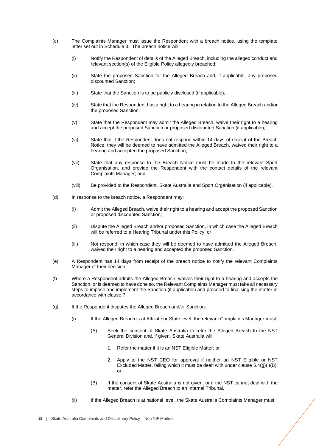- (c) The Complaints Manager must issue the Respondent with a breach notice, using the template letter set out in Schedule 3. The breach notice will:
	- (i) Notify the Respondent of details of the Alleged Breach, including the alleged conduct and relevant section(s) of the Eligible Policy allegedly breached;
	- (ii) State the proposed Sanction for the Alleged Breach and, if applicable, any proposed discounted Sanction;
	- (iii) State that the Sanction is to be publicly disclosed (if applicable);
	- (iv) State that the Respondent has a right to a hearing in relation to the Alleged Breach and/or the proposed Sanction;
	- (v) State that the Respondent may admit the Alleged Breach, waive their right to a hearing and accept the proposed Sanction or proposed discounted Sanction (if applicable);
	- (vi) State that if the Respondent does not respond within 14 days of receipt of the Breach Notice, they will be deemed to have admitted the Alleged Breach, waived their right to a hearing and accepted the proposed Sanction;
	- (vii) State that any response to the Breach Notice must be made to the relevant Sport Organisation, and provide the Respondent with the contact details of the relevant Complaints Manager; and
	- (viii) Be provided to the Respondent, Skate Australia and Sport Organisation (if applicable).
- (d) In response to the breach notice, a Respondent may:
	- (i) Admit the Alleged Breach, waive their right to a hearing and accept the proposed Sanction or proposed discounted Sanction;
	- (ii) Dispute the Alleged Breach and/or proposed Sanction, in which case the Alleged Breach will be referred to a Hearing Tribunal under this Policy; or
	- (iii) Not respond, in which case they will be deemed to have admitted the Alleged Breach, waived their right to a hearing and accepted the proposed Sanction.
- (e) A Respondent has 14 days from receipt of the breach notice to notify the relevant Complaints Manager of their decision.
- (f) Where a Respondent admits the Alleged Breach, waives their right to a hearing and accepts the Sanction, or is deemed to have done so, the Relevant Complaints Manager must take all necessary steps to impose and implement the Sanction (if applicable) and proceed to finalising the matter in accordance with clause [7.](#page-15-0)
- (g) If the Respondent disputes the Alleged Breach and/or Sanction:
	- (i) If the Alleged Breach is at Affiliate or State level, the relevant Complaints Manager must:
		- (A) Seek the consent of Skate Australia to refer the Alleged Breach to the NST General Division and, if given, Skate Australia will:
			- 1. Refer the matter if it is an NST Eligible Matter; or
			- 2. Apply to the NST CEO for approval if neither an NST Eligible or NST Excluded Matter, failing which it must be dealt with under clause  $5.4(q)(i)(B)$ ; or
		- (B) If the consent of Skate Australia is not given, or if the NST cannot deal with the matter, refer the Alleged Breach to an Internal Tribunal.
	- (ii) If the Alleged Breach is at national level, the Skate Australia Complaints Manager must: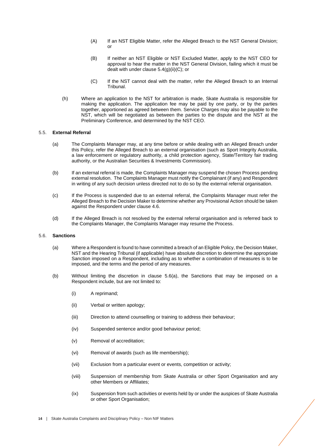- (A) If an NST Eligible Matter, refer the Alleged Breach to the NST General Division; or
- (B) If neither an NST Eligible or NST Excluded Matter, apply to the NST CEO for approval to hear the matter in the NST General Division, failing which it must be dealt with under clause  $5.4(q)(ii)(C)$ ; or
- (C) If the NST cannot deal with the matter, refer the Alleged Breach to an Internal Tribunal.
- (h) Where an application to the NST for arbitration is made, Skate Australia is responsible for making the application. The application fee may be paid by one party, or by the parties together, apportioned as agreed between them. Service Charges may also be payable to the NST, which will be negotiated as between the parties to the dispute and the NST at the Preliminary Conference, and determined by the NST CEO.

## <span id="page-13-1"></span>5.5. **External Referral**

- (a) The Complaints Manager may, at any time before or while dealing with an Alleged Breach under this Policy, refer the Alleged Breach to an external organisation (such as Sport Integrity Australia, a law enforcement or regulatory authority, a child protection agency, State/Territory fair trading authority, or the Australian Securities & Investments Commission).
- (b) If an external referral is made, the Complaints Manager may suspend the chosen Process pending external resolution. The Complaints Manager must notify the Complainant (if any) and Respondent in writing of any such decision unless directed not to do so by the external referral organisation.
- (c) If the Process is suspended due to an external referral, the Complaints Manager must refer the Alleged Breach to the Decision Maker to determine whether any Provisional Action should be taken against the Respondent under claus[e 4.6.](#page-9-1)
- (d) If the Alleged Breach is not resolved by the external referral organisation and is referred back to the Complaints Manager, the Complaints Manager may resume the Process.

## <span id="page-13-0"></span>5.6. **Sanctions**

- (a) Where a Respondent is found to have committed a breach of an Eligible Policy, the Decision Maker, NST and the Hearing Tribunal (if applicable) have absolute discretion to determine the appropriate Sanction imposed on a Respondent, including as to whether a combination of measures is to be imposed, and the terms and the period of any measures.
- (b) Without limiting the discretion in clause [5.6\(](#page-13-0)a), the Sanctions that may be imposed on a Respondent include, but are not limited to:
	- (i) A reprimand;
	- (ii) Verbal or written apology;
	- (iii) Direction to attend counselling or training to address their behaviour;
	- (iv) Suspended sentence and/or good behaviour period;
	- (v) Removal of accreditation;
	- (vi) Removal of awards (such as life membership);
	- (vii) Exclusion from a particular event or events, competition or activity;
	- (viii) Suspension of membership from Skate Australia or other Sport Organisation and any other Members or Affiliates;
	- (ix) Suspension from such activities or events held by or under the auspices of Skate Australia or other Sport Organisation;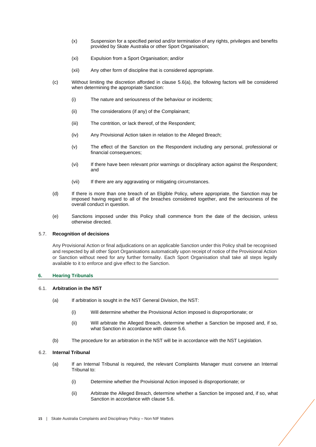- (x) Suspension for a specified period and/or termination of any rights, privileges and benefits provided by Skate Australia or other Sport Organisation;
- (xi) Expulsion from a Sport Organisation; and/or
- (xii) Any other form of discipline that is considered appropriate.
- (c) Without limiting the discretion afforded in clause [5.6\(](#page-13-0)a), the following factors will be considered when determining the appropriate Sanction:
	- (i) The nature and seriousness of the behaviour or incidents;
	- (ii) The considerations (if any) of the Complainant;
	- (iii) The contrition, or lack thereof, of the Respondent;
	- (iv) Any Provisional Action taken in relation to the Alleged Breach;
	- (v) The effect of the Sanction on the Respondent including any personal, professional or financial consequences;
	- (vi) If there have been relevant prior warnings or disciplinary action against the Respondent; and
	- (vii) If there are any aggravating or mitigating circumstances.
- (d) If there is more than one breach of an Eligible Policy, where appropriate, the Sanction may be imposed having regard to all of the breaches considered together, and the seriousness of the overall conduct in question.
- (e) Sanctions imposed under this Policy shall commence from the date of the decision, unless otherwise directed.

## 5.7. **Recognition of decisions**

Any Provisional Action or final adjudications on an applicable Sanction under this Policy shall be recognised and respected by all other Sport Organisations automatically upon receipt of notice of the Provisional Action or Sanction without need for any further formality. Each Sport Organisation shall take all steps legally available to it to enforce and give effect to the Sanction.

# <span id="page-14-0"></span>**6. Hearing Tribunals**

# 6.1. **Arbitration in the NST**

- <span id="page-14-1"></span>(a) If arbitration is sought in the NST General Division, the NST:
	- (i) Will determine whether the Provisional Action imposed is disproportionate; or
	- (ii) Will arbitrate the Alleged Breach, determine whether a Sanction be imposed and, if so, what Sanction in accordance with clause [5.6.](#page-13-0)
- (b) The procedure for an arbitration in the NST will be in accordance with the NST Legislation.

## <span id="page-14-3"></span><span id="page-14-2"></span>6.2. **Internal Tribunal**

- (a) If an Internal Tribunal is required, the relevant Complaints Manager must convene an Internal Tribunal to:
	- (i) Determine whether the Provisional Action imposed is disproportionate; or
	- (ii) Arbitrate the Alleged Breach, determine whether a Sanction be imposed and, if so, what Sanction in accordance with clause [5.6.](#page-13-0)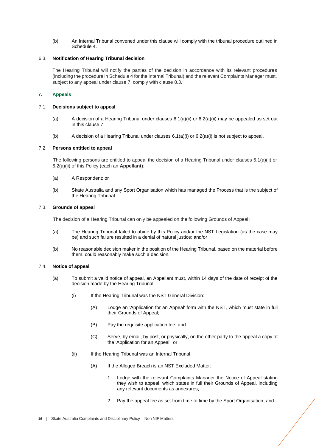(b) An Internal Tribunal convened under this clause will comply with the tribunal procedure outlined in Schedule 4.

## 6.3. **Notification of Hearing Tribunal decision**

The Hearing Tribunal will notify the parties of the decision in accordance with its relevant procedures (including the procedure in Schedule 4 for the Internal Tribunal) and the relevant Complaints Manager must, subject to any appeal under clause 7, comply with clause 8.3.

# <span id="page-15-0"></span>**7. Appeals**

# 7.1. **Decisions subject to appeal**

- (a) A decision of a Hearing Tribunal under clauses [6.1\(](#page-14-1)a)(ii) or [6.2\(](#page-14-3)a)(ii) may be appealed as set out in this clause 7.
- (b) A decision of a Hearing Tribunal under clauses [6.1\(](#page-14-1)a)(i) o[r 6.2\(](#page-14-3)a)(i) is not subject to appeal.

# 7.2. **Persons entitled to appeal**

The following persons are entitled to appeal the decision of a Hearing Tribunal under clauses [6.1\(](#page-14-1)a)(ii) or [6.2\(](#page-14-3)a)(ii) of this Policy (each an **Appellant**):

- (a) A Respondent; or
- (b) Skate Australia and any Sport Organisation which has managed the Process that is the subject of the Hearing Tribunal.

# <span id="page-15-2"></span>7.3. **Grounds of appeal**

The decision of a Hearing Tribunal can only be appealed on the following Grounds of Appeal:

- (a) The Hearing Tribunal failed to abide by this Policy and/or the NST Legislation (as the case may be) and such failure resulted in a denial of natural justice; and/or
- (b) No reasonable decision maker in the position of the Hearing Tribunal, based on the material before them, could reasonably make such a decision.

## <span id="page-15-1"></span>7.4. **Notice of appeal**

- (a) To submit a valid notice of appeal, an Appellant must, within 14 days of the date of receipt of the decision made by the Hearing Tribunal:
	- (i) If the Hearing Tribunal was the NST General Division:
		- (A) Lodge an 'Application for an Appeal' form with the NST, which must state in full their Grounds of Appeal;
		- (B) Pay the requisite application fee; and
		- (C) Serve, by email, by post, or physically, on the other party to the appeal a copy of the 'Application for an Appeal'; or
	- (ii) If the Hearing Tribunal was an Internal Tribunal:
		- (A) If the Alleged Breach is an NST Excluded Matter:
			- 1. Lodge with the relevant Complaints Manager the Notice of Appeal stating they wish to appeal, which states in full their Grounds of Appeal, including any relevant documents as annexures;
			- 2. Pay the appeal fee as set from time to time by the Sport Organisation; and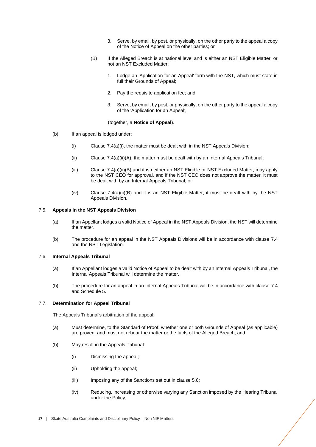- 3. Serve, by email, by post, or physically, on the other party to the appeal a copy of the Notice of Appeal on the other parties; or
- (B) If the Alleged Breach is at national level and is either an NST Eligible Matter, or not an NST Excluded Matter:
	- 1. Lodge an 'Application for an Appeal' form with the NST, which must state in full their Grounds of Appeal:
	- 2. Pay the requisite application fee; and
	- 3. Serve, by email, by post, or physically, on the other party to the appeal a copy of the 'Application for an Appeal',

(together, a **Notice of Appeal**).

- (b) If an appeal is lodged under:
	- (i) Clause  $7.4(a)(i)$ , the matter must be dealt with in the NST Appeals Division:
	- $(iii)$  Claus[e 7.4\(](#page-15-1)a)(ii)(A), the matter must be dealt with by an Internal Appeals Tribunal;
	- (iii) Clause [7.4\(](#page-15-1)a)(ii)(B) and it is neither an NST Eligible or NST Excluded Matter, may apply to the NST CEO for approval, and if the NST CEO does not approve the matter, it must be dealt with by an Internal Appeals Tribunal; or
	- $(iv)$  Clause [7.4\(](#page-15-1)a)(ii)(B) and it is an NST Eligible Matter, it must be dealt with by the NST Appeals Division.

#### 7.5. **Appeals in the NST Appeals Division**

- (a) If an Appellant lodges a valid Notice of Appeal in the NST Appeals Division, the NST will determine the matter.
- (b) The procedure for an appeal in the NST Appeals Divisions will be in accordance with clause [7.4](#page-15-1) and the NST Legislation.

## <span id="page-16-1"></span>7.6. **Internal Appeals Tribunal**

- (a) If an Appellant lodges a valid Notice of Appeal to be dealt with by an Internal Appeals Tribunal, the Internal Appeals Tribunal will determine the matter.
- (b) The procedure for an appeal in an Internal Appeals Tribunal will be in accordance with clause [7.4](#page-15-1) and Schedule 5.

#### <span id="page-16-0"></span>7.7. **Determination for Appeal Tribunal**

The Appeals Tribunal's arbitration of the appeal:

- (a) Must determine, to the Standard of Proof, whether one or both Grounds of Appeal (as applicable) are proven, and must not rehear the matter or the facts of the Alleged Breach; and
- (b) May result in the Appeals Tribunal:
	- (i) Dismissing the appeal;
	- (ii) Upholding the appeal;
	- (iii) Imposing any of the Sanctions set out in claus[e 5.6;](#page-13-0)
	- (iv) Reducing, increasing or otherwise varying any Sanction imposed by the Hearing Tribunal under the Policy,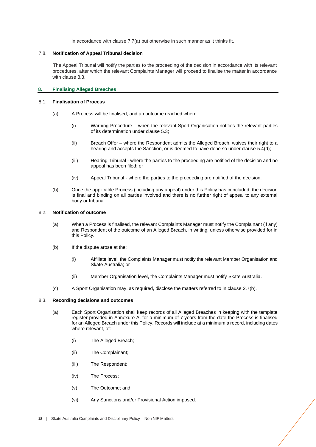in accordance with claus[e 7.7\(](#page-16-0)a) but otherwise in such manner as it thinks fit.

## 7.8. **Notification of Appeal Tribunal decision**

The Appeal Tribunal will notify the parties to the proceeding of the decision in accordance with its relevant procedures, after which the relevant Complaints Manager will proceed to finalise the matter in accordance with clause [8.3.](#page-17-1)

# <span id="page-17-0"></span>**8. Finalising Alleged Breaches**

# 8.1. **Finalisation of Process**

- (a) A Process will be finalised, and an outcome reached when:
	- (i) Warning Procedure when the relevant Sport Organisation notifies the relevant parties of its determination under claus[e 5.3;](#page-11-1)
	- (ii) Breach Offer where the Respondent admits the Alleged Breach, waives their right to a hearing and accepts the Sanction, or is deemed to have done so under clause [5.4\(](#page-11-0)d);
	- (iii) Hearing Tribunal where the parties to the proceeding are notified of the decision and no appeal has been filed; or
	- (iv) Appeal Tribunal where the parties to the proceeding are notified of the decision.
- (b) Once the applicable Process (including any appeal) under this Policy has concluded, the decision is final and binding on all parties involved and there is no further right of appeal to any external body or tribunal.

## 8.2. **Notification of outcome**

- (a) When a Process is finalised, the relevant Complaints Manager must notify the Complainant (if any) and Respondent of the outcome of an Alleged Breach, in writing, unless otherwise provided for in this Policy.
- (b) If the dispute arose at the:
	- (i) Affiliate level, the Complaints Manager must notify the relevant Member Organisation and Skate Australia; or
	- (ii) Member Organisation level, the Complaints Manager must notify Skate Australia.
- (c) A Sport Organisation may, as required, disclose the matters referred to in claus[e 2.7\(](#page-5-0)b).

## <span id="page-17-1"></span>8.3. **Recording decisions and outcomes**

- (a) Each Sport Organisation shall keep records of all Alleged Breaches in keeping with the template register provided in Annexure A, for a minimum of 7 years from the date the Process is finalised for an Alleged Breach under this Policy. Records will include at a minimum a record, including dates where relevant, of:
	- (i) The Alleged Breach;
	- (ii) The Complainant;
	- (iii) The Respondent;
	- (iv) The Process;
	- (v) The Outcome; and
	- (vi) Any Sanctions and/or Provisional Action imposed.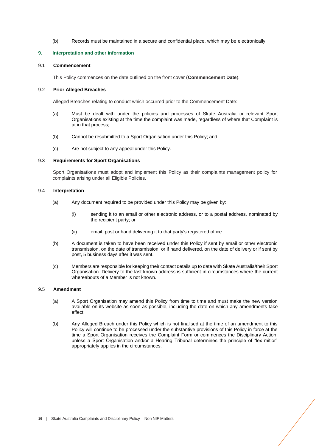## (b) Records must be maintained in a secure and confidential place, which may be electronically.

## <span id="page-18-0"></span>**9. Interpretation and other information**

#### 9.1 **Commencement**

This Policy commences on the date outlined on the front cover (**Commencement Date**).

## 9.2 **Prior Alleged Breaches**

Alleged Breaches relating to conduct which occurred prior to the Commencement Date:

- (a) Must be dealt with under the policies and processes of Skate Australia or relevant Sport Organisations existing at the time the complaint was made, regardless of where that Complaint is at in that process;
- (b) Cannot be resubmitted to a Sport Organisation under this Policy; and
- (c) Are not subject to any appeal under this Policy.

#### 9.3 **Requirements for Sport Organisations**

Sport Organisations must adopt and implement this Policy as their complaints management policy for complaints arising under all Eligible Policies.

#### 9.4 **Interpretation**

- (a) Any document required to be provided under this Policy may be given by:
	- (i) sending it to an email or other electronic address, or to a postal address, nominated by the recipient party; or
	- (ii) email, post or hand delivering it to that party's registered office.
- (b) A document is taken to have been received under this Policy if sent by email or other electronic transmission, on the date of transmission, or if hand delivered, on the date of delivery or if sent by post, 5 business days after it was sent.
- (c) Members are responsible for keeping their contact details up to date with Skate Australia/their Sport Organisation. Delivery to the last known address is sufficient in circumstances where the current whereabouts of a Member is not known.

# 9.5 **Amendment**

- (a) A Sport Organisation may amend this Policy from time to time and must make the new version available on its website as soon as possible, including the date on which any amendments take effect.
- (b) Any Alleged Breach under this Policy which is not finalised at the time of an amendment to this Policy will continue to be processed under the substantive provisions of this Policy in force at the time a Sport Organisation receives the Complaint Form or commences the Disciplinary Action, unless a Sport Organisation and/or a Hearing Tribunal determines the principle of "lex mitior" appropriately applies in the circumstances.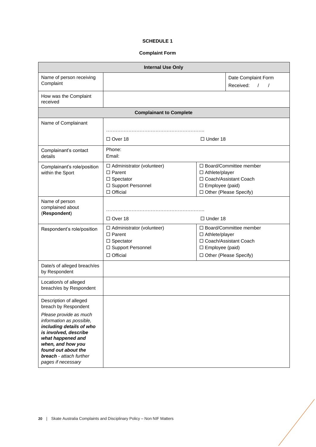# **SCHEDULE 1**

# **Complaint Form**

<span id="page-19-0"></span>

| <b>Internal Use Only</b>                                                                                                                                                                                                                                                           |                                                                                                                       |                                                                                                                               |                                                            |  |  |  |  |  |
|------------------------------------------------------------------------------------------------------------------------------------------------------------------------------------------------------------------------------------------------------------------------------------|-----------------------------------------------------------------------------------------------------------------------|-------------------------------------------------------------------------------------------------------------------------------|------------------------------------------------------------|--|--|--|--|--|
| Name of person receiving<br>Complaint                                                                                                                                                                                                                                              |                                                                                                                       |                                                                                                                               | Date Complaint Form<br>Received:<br>$\sqrt{2}$<br>$\prime$ |  |  |  |  |  |
| How was the Complaint<br>received                                                                                                                                                                                                                                                  |                                                                                                                       |                                                                                                                               |                                                            |  |  |  |  |  |
| <b>Complainant to Complete</b>                                                                                                                                                                                                                                                     |                                                                                                                       |                                                                                                                               |                                                            |  |  |  |  |  |
| Name of Complainant                                                                                                                                                                                                                                                                |                                                                                                                       |                                                                                                                               |                                                            |  |  |  |  |  |
|                                                                                                                                                                                                                                                                                    |                                                                                                                       |                                                                                                                               |                                                            |  |  |  |  |  |
|                                                                                                                                                                                                                                                                                    | $\Box$ Over 18                                                                                                        | $\Box$ Under 18                                                                                                               |                                                            |  |  |  |  |  |
| Complainant's contact<br>details                                                                                                                                                                                                                                                   | Phone:<br>Email:                                                                                                      |                                                                                                                               |                                                            |  |  |  |  |  |
| Complainant's role/position<br>within the Sport                                                                                                                                                                                                                                    | $\Box$ Administrator (volunteer)<br>$\square$ Parent<br>$\square$ Spectator<br>□ Support Personnel<br>$\Box$ Official | $\Box$ Board/Committee member<br>□ Athlete/player<br>□ Coach/Assistant Coach<br>□ Employee (paid)<br>□ Other (Please Specify) |                                                            |  |  |  |  |  |
| Name of person<br>complained about<br>(Respondent)                                                                                                                                                                                                                                 | $\Box$ Over 18                                                                                                        | $\Box$ Under 18                                                                                                               |                                                            |  |  |  |  |  |
| Respondent's role/position                                                                                                                                                                                                                                                         | $\Box$ Administrator (volunteer)<br>$\Box$ Parent<br>$\Box$ Spectator<br>□ Support Personnel<br>$\Box$ Official       | □ Board/Committee member<br>□ Athlete/player<br>□ Coach/Assistant Coach<br>□ Employee (paid)<br>□ Other (Please Specify)      |                                                            |  |  |  |  |  |
| Date/s of alleged breach/es<br>by Respondent                                                                                                                                                                                                                                       |                                                                                                                       |                                                                                                                               |                                                            |  |  |  |  |  |
| Location/s of alleged<br>breach/es by Respondent                                                                                                                                                                                                                                   |                                                                                                                       |                                                                                                                               |                                                            |  |  |  |  |  |
| Description of alleged<br>breach by Respondent<br>Please provide as much<br>information as possible,<br>including details of who<br>is involved, describe<br>what happened and<br>when, and how you<br>found out about the<br><b>breach</b> - attach further<br>pages if necessary |                                                                                                                       |                                                                                                                               |                                                            |  |  |  |  |  |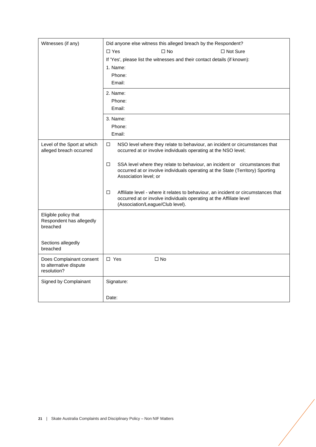| Witnesses (if any)                                                | Did anyone else witness this alleged breach by the Respondent?                                                                                                                                     |  |  |  |
|-------------------------------------------------------------------|----------------------------------------------------------------------------------------------------------------------------------------------------------------------------------------------------|--|--|--|
|                                                                   | $\square$ No<br>$\Box$ Yes<br>$\Box$ Not Sure                                                                                                                                                      |  |  |  |
|                                                                   | If 'Yes', please list the witnesses and their contact details (if known):                                                                                                                          |  |  |  |
|                                                                   | 1. Name:                                                                                                                                                                                           |  |  |  |
|                                                                   | Phone:                                                                                                                                                                                             |  |  |  |
|                                                                   | Email:                                                                                                                                                                                             |  |  |  |
|                                                                   | 2. Name:                                                                                                                                                                                           |  |  |  |
|                                                                   | Phone:                                                                                                                                                                                             |  |  |  |
|                                                                   | Email:                                                                                                                                                                                             |  |  |  |
|                                                                   | 3. Name:                                                                                                                                                                                           |  |  |  |
|                                                                   | Phone:                                                                                                                                                                                             |  |  |  |
|                                                                   | Email:                                                                                                                                                                                             |  |  |  |
| Level of the Sport at which<br>alleged breach occurred            | $\Box$<br>NSO level where they relate to behaviour, an incident or circumstances that<br>occurred at or involve individuals operating at the NSO level;                                            |  |  |  |
|                                                                   | $\Box$<br>SSA level where they relate to behaviour, an incident or circumstances that<br>occurred at or involve individuals operating at the State (Territory) Sporting<br>Association level; or   |  |  |  |
|                                                                   | Affiliate level - where it relates to behaviour, an incident or circumstances that<br>□<br>occurred at or involve individuals operating at the Affiliate level<br>(Association/League/Club level). |  |  |  |
| Eligible policy that<br>Respondent has allegedly<br>breached      |                                                                                                                                                                                                    |  |  |  |
| Sections allegedly<br>breached                                    |                                                                                                                                                                                                    |  |  |  |
| Does Complainant consent<br>to alternative dispute<br>resolution? | $\Box$ Yes<br>$\square$ No                                                                                                                                                                         |  |  |  |
| Signed by Complainant                                             | Signature:                                                                                                                                                                                         |  |  |  |
|                                                                   | Date:                                                                                                                                                                                              |  |  |  |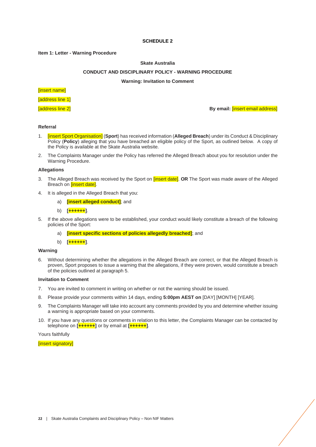## **SCHEDULE 2**

#### <span id="page-21-0"></span>**Item 1: Letter - Warning Procedure**

## **Skate Australia**

## **CONDUCT AND DISCIPLINARY POLICY - WARNING PROCEDURE**

## **Warning: Invitation to Comment**

# [insert name]

[address line 1]

[address line 2] **By email:** [insert email address]

# **Referral**

- 1. [insert Sport Organisation] (**Sport**) has received information (**Alleged Breach**) under its Conduct & Disciplinary Policy (**Policy**) alleging that you have breached an eligible policy of the Sport, as outlined below. A copy of the Policy is available at the Skate Australia website.
- 2. The Complaints Manager under the Policy has referred the Alleged Breach about you for resolution under the Warning Procedure.

## **Allegations**

- 3. The Alleged Breach was received by the Sport on [insert date]. **OR** The Sport was made aware of the Alleged Breach on **[insert date]**.
- 4. It is alleged in the Alleged Breach that you:
	- a) **[insert alleged conduct]**; and
	- b) **[++++++]**.
- 5. If the above allegations were to be established, your conduct would likely constitute a breach of the following policies of the Sport:
	- a) **[insert specific sections of policies allegedly breached]**; and
	- b) **[++++++]**.

## **Warning**

6. Without determining whether the allegations in the Alleged Breach are correct, or that the Alleged Breach is proven, Sport proposes to issue a warning that the allegations, if they were proven, would constitute a breach of the policies outlined at paragraph 5.

#### **Invitation to Comment**

- 7. You are invited to comment in writing on whether or not the warning should be issued.
- 8. Please provide your comments within 14 days, ending **5:00pm AEST on** [DAY] [MONTH] [YEAR].
- 9. The Complaints Manager will take into account any comments provided by you and determine whether issuing a warning is appropriate based on your comments.
- 10. If you have any questions or comments in relation to this letter, the Complaints Manager can be contacted by telephone on **[++++++]** or by email at **[++++++]**.

Yours faithfully

#### [insert signatory]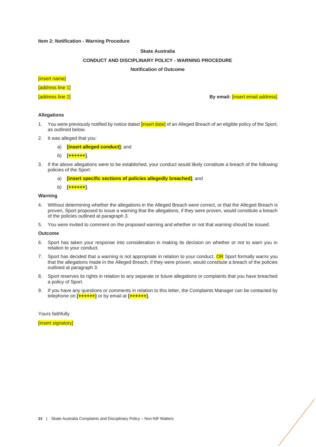## **Item 2: Notification - Warning Procedure**

## **Skate Australia**

## **CONDUCT AND DISCIPLINARY POLICY - WARNING PROCEDURE**

#### **Notification of Outcome**

[insert name]

**Taddress line 11** 

[address line 2] **By email:** [insert email address]

## **Allegations**

- 1. You were previously notified by notice dated *[insert date]* of an Alleged Breach of an eligible policy of the Sport, as outlined below.
- 2. It was alleged that you:
	- a) **[insert alleged conduct]**; and
	- b) **[++++++]**.
- 3. If the above allegations were to be established, your conduct would likely constitute a breach of the following policies of the Sport:
	- a) **[insert specific sections of policies allegedly breached]**; and
	- b) **[++++++]**.

# **Warning**

- 4. Without determining whether the allegations in the Alleged Breach were correct, or that the Alleged Breach is proven, Sport proposed to issue a warning that the allegations, if they were proven, would constitute a breach of the policies outlined at paragraph 3.
- 5. You were invited to comment on the proposed warning and whether or not that warning should be issued.

#### **Outcome**

- 6. Sport has taken your response into consideration in making its decision on whether or not to warn you in relation to your conduct.
- 7. Sport has decided that a warning is not appropriate in relation to your conduct. OR Sport formally warns you that the allegations made in the Alleged Breach, if they were proven, would constitute a breach of the policies outlined at paragraph 3.
- 8. Sport reserves its rights in relation to any separate or future allegations or complaints that you have breached a policy of Sport.
- 9. If you have any questions or comments in relation to this letter, the Complaints Manager can be contacted by telephone on **[++++++]** or by email at **[++++++]**.

Yours faithfully

**Insert signatoryl**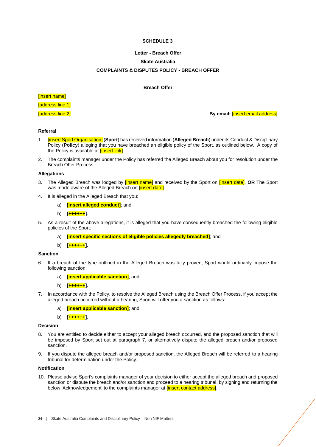# **SCHEDULE 3**

## **Letter - Breach Offer**

## **Skate Australia**

# **COMPLAINTS & DISPUTES POLICY - BREACH OFFER**

#### **Breach Offer**

<span id="page-23-0"></span>[insert name] [address line 1]

[address line 2] **By email:** [insert email address]

#### **Referral**

- 1. [insert Sport Organisation] (**Sport**) has received information (**Alleged Breach**) under its Conduct & Disciplinary Policy (Policy) alleging that you have breached an eligible policy of the Sport, as outlined below. A copy of the Policy is available at **[insert link]**.
- 2. The complaints manager under the Policy has referred the Alleged Breach about you for resolution under the Breach Offer Process.

## **Allegations**

- 3. The Alleged Breach was lodged by [insert name] and received by the Sport on [insert date]. **OR** The Sport was made aware of the Alleged Breach on *[insert date]*.
- 4. It is alleged in the Alleged Breach that you:
	- a) **[insert alleged conduct]**; and
	- b) **[++++++]**.
- 5. As a result of the above allegations, it is alleged that you have consequently breached the following eligible policies of the Sport:
	- a) **[insert specific sections of eligible policies allegedly breached]**; and
	- b) **[++++++]**.

# **Sanction**

- 6. If a breach of the type outlined in the Alleged Breach was fully proven, Sport would ordinarily impose the following sanction:
	- a) **[insert applicable sanction]**; and
	- b) **[++++++]**.
- 7. In accordance with the Policy, to resolve the Alleged Breach using the Breach Offer Process, if you accept the alleged breach occurred without a hearing, Sport will offer you a sanction as follows:
	- a) **[insert applicable sanction]**; and
	- b) **[++++++]**.

#### **Decision**

- 8. You are entitled to decide either to accept your alleged breach occurred, and the proposed sanction that will be imposed by Sport set out at paragraph 7, or alternatively dispute the alleged breach and/or proposed sanction.
- 9. If you dispute the alleged breach and/or proposed sanction, the Alleged Breach will be referred to a hearing tribunal for determination under the Policy.

# **Notification**

10. Please advise Sport's complaints manager of your decision to either accept the alleged breach and proposed sanction or dispute the breach and/or sanction and proceed to a hearing tribunal, by signing and returning the below 'Acknowledgement' to the complaints manager at *linsert contact address*].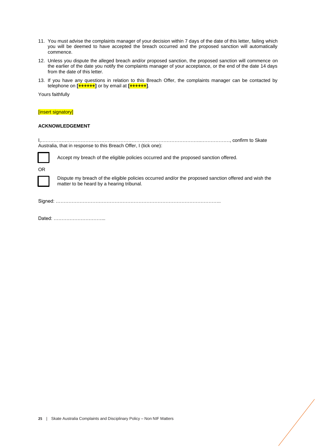- 11. You must advise the complaints manager of your decision within 7 days of the date of this letter, failing which you will be deemed to have accepted the breach occurred and the proposed sanction will automatically commence.
- 12. Unless you dispute the alleged breach and/or proposed sanction, the proposed sanction will commence on the earlier of the date you notify the complaints manager of your acceptance, or the end of the date 14 days from the date of this letter.
- 13. If you have any questions in relation to this Breach Offer, the complaints manager can be contacted by telephone on **[++++++]** or by email at **[++++++]**.

Yours faithfully

### [insert signatory]

# **ACKNOWLEDGEMENT**

I,………………………………………………………………………………………..………………, confirm to Skate Australia, that in response to this Breach Offer, I (tick one): Accept my breach of the eligible policies occurred and the proposed sanction offered. OR Dispute my breach of the eligible policies occurred and/or the proposed sanction offered and wish the matter to be heard by a hearing tribunal. Signed: ………………………………………………………………………………………….. Dated: …………………………...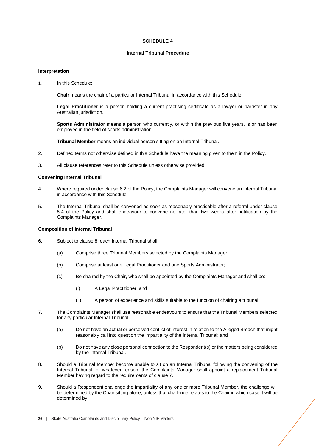## **SCHEDULE 4**

# **Internal Tribunal Procedure**

## <span id="page-25-0"></span>**Interpretation**

1. In this Schedule:

**Chair** means the chair of a particular Internal Tribunal in accordance with this Schedule.

**Legal Practitioner** is a person holding a current practising certificate as a lawyer or barrister in any Australian jurisdiction.

**Sports Administrator** means a person who currently, or within the previous five years, is or has been employed in the field of sports administration.

**Tribunal Member** means an individual person sitting on an Internal Tribunal.

- 2. Defined terms not otherwise defined in this Schedule have the meaning given to them in the Policy.
- 3. All clause references refer to this Schedule unless otherwise provided.

#### **Convening Internal Tribunal**

- 4. Where required under claus[e 6.2](#page-14-3) of the Policy, the Complaints Manager will convene an Internal Tribunal in accordance with this Schedule.
- 5. The Internal Tribunal shall be convened as soon as reasonably practicable after a referral under clause [5.4](#page-11-0) of the Policy and shall endeavour to convene no later than two weeks after notification by the Complaints Manager.

## **Composition of Internal Tribunal**

- 6. Subject to clause 8, each Internal Tribunal shall:
	- (a) Comprise three Tribunal Members selected by the Complaints Manager;
	- (b) Comprise at least one Legal Practitioner and one Sports Administrator;
	- (c) Be chaired by the Chair, who shall be appointed by the Complaints Manager and shall be:
		- (i) A Legal Practitioner; and
		- (ii) A person of experience and skills suitable to the function of chairing a tribunal.
- 7. The Complaints Manager shall use reasonable endeavours to ensure that the Tribunal Members selected for any particular Internal Tribunal:
	- (a) Do not have an actual or perceived conflict of interest in relation to the Alleged Breach that might reasonably call into question the impartiality of the Internal Tribunal; and
	- (b) Do not have any close personal connection to the Respondent(s) or the matters being considered by the Internal Tribunal.
- 8. Should a Tribunal Member become unable to sit on an Internal Tribunal following the convening of the Internal Tribunal for whatever reason, the Complaints Manager shall appoint a replacement Tribunal Member having regard to the requirements of clause 7.
- 9. Should a Respondent challenge the impartiality of any one or more Tribunal Member, the challenge will be determined by the Chair sitting alone, unless that challenge relates to the Chair in which case it will be determined by: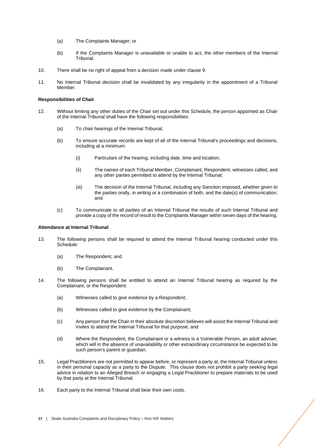- (a) The Complaints Manager; or
- (b) If the Complaints Manager is unavailable or unable to act, the other members of the Internal Tribunal.
- 10. There shall be no right of appeal from a decision made under clause 9.
- 11. No Internal Tribunal decision shall be invalidated by any irregularity in the appointment of a Tribunal Member.

#### **Responsibilities of Chair**

- 12. Without limiting any other duties of the Chair set out under this Schedule, the person appointed as Chair of the Internal Tribunal shall have the following responsibilities:
	- (a) To chair hearings of the Internal Tribunal;
	- (b) To ensure accurate records are kept of all of the Internal Tribunal's proceedings and decisions, including at a minimum:
		- (i) Particulars of the hearing, including date, time and location;
		- (ii) The names of each Tribunal Member, Complainant, Respondent, witnesses called, and any other parties permitted to attend by the Internal Tribunal;
		- (iii) The decision of the Internal Tribunal, including any Sanction imposed, whether given to the parties orally, in writing or a combination of both, and the date(s) of communication; and
	- (c) To communicate to all parties of an Internal Tribunal the results of such Internal Tribunal and provide a copy of the record of result to the Complaints Manager within seven days of the hearing.

#### **Attendance at Internal Tribunal**

- 13. The following persons shall be required to attend the Internal Tribunal hearing conducted under this Schedule:
	- (a) The Respondent; and
	- (b) The Complainant.
- 14. The following persons shall be entitled to attend an Internal Tribunal hearing as required by the Complainant, or the Respondent:
	- (a) Witnesses called to give evidence by a Respondent;
	- (b) Witnesses called to give evidence by the Complainant;
	- (c) Any person that the Chair in their absolute discretion believes will assist the Internal Tribunal and invites to attend the Internal Tribunal for that purpose; and
	- (d) Where the Respondent, the Complainant or a witness is a Vulnerable Person, an adult adviser, which will in the absence of unavailability or other extraordinary circumstance be expected to be such person's parent or guardian.
- 15. Legal Practitioners are not permitted to appear before, or represent a party at, the Internal Tribunal unless in their personal capacity as a party to the Dispute. This clause does not prohibit a party seeking legal advice in relation to an Alleged Breach or engaging a Legal Practitioner to prepare materials to be used by that party at the Internal Tribunal.
- 16. Each party to the Internal Tribunal shall bear their own costs.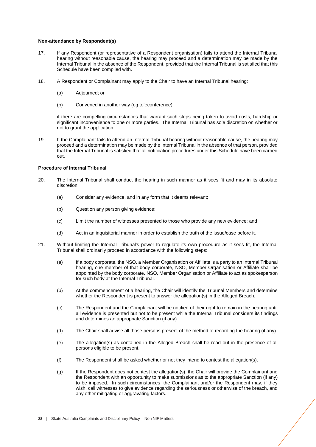#### **Non-attendance by Respondent(s)**

- 17. If any Respondent (or representative of a Respondent organisation) fails to attend the Internal Tribunal hearing without reasonable cause, the hearing may proceed and a determination may be made by the Internal Tribunal in the absence of the Respondent, provided that the Internal Tribunal is satisfied that this Schedule have been complied with.
- 18. A Respondent or Complainant may apply to the Chair to have an Internal Tribunal hearing:
	- (a) Adjourned; or
	- (b) Convened in another way (eg teleconference),

if there are compelling circumstances that warrant such steps being taken to avoid costs, hardship or significant inconvenience to one or more parties. The Internal Tribunal has sole discretion on whether or not to grant the application.

19. If the Complainant fails to attend an Internal Tribunal hearing without reasonable cause, the hearing may proceed and a determination may be made by the Internal Tribunal in the absence of that person, provided that the Internal Tribunal is satisfied that all notification procedures under this Schedule have been carried out.

#### **Procedure of Internal Tribunal**

- 20. The Internal Tribunal shall conduct the hearing in such manner as it sees fit and may in its absolute discretion:
	- (a) Consider any evidence, and in any form that it deems relevant;
	- (b) Question any person giving evidence;
	- (c) Limit the number of witnesses presented to those who provide any new evidence; and
	- (d) Act in an inquisitorial manner in order to establish the truth of the issue/case before it.
- 21. Without limiting the Internal Tribunal's power to regulate its own procedure as it sees fit, the Internal Tribunal shall ordinarily proceed in accordance with the following steps:
	- (a) If a body corporate, the NSO, a Member Organisation or Affiliate is a party to an Internal Tribunal hearing, one member of that body corporate, NSO, Member Organisation or Affiliate shall be appointed by the body corporate, NSO, Member Organisation or Affiliate to act as spokesperson for such body at the Internal Tribunal.
	- (b) At the commencement of a hearing, the Chair will identify the Tribunal Members and determine whether the Respondent is present to answer the allegation(s) in the Alleged Breach.
	- (c) The Respondent and the Complainant will be notified of their right to remain in the hearing until all evidence is presented but not to be present while the Internal Tribunal considers its findings and determines an appropriate Sanction (if any).
	- (d) The Chair shall advise all those persons present of the method of recording the hearing (if any).
	- (e) The allegation(s) as contained in the Alleged Breach shall be read out in the presence of all persons eligible to be present.
	- (f) The Respondent shall be asked whether or not they intend to contest the allegation(s).
	- (g) If the Respondent does not contest the allegation(s), the Chair will provide the Complainant and the Respondent with an opportunity to make submissions as to the appropriate Sanction (if any) to be imposed. In such circumstances, the Complainant and/or the Respondent may, if they wish, call witnesses to give evidence regarding the seriousness or otherwise of the breach, and any other mitigating or aggravating factors.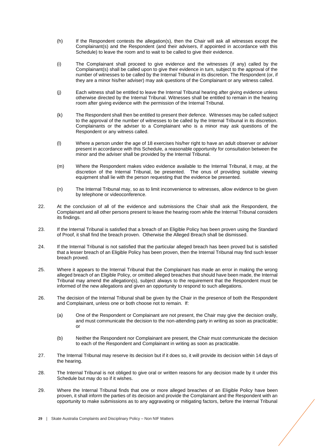- (h) If the Respondent contests the allegation(s), then the Chair will ask all witnesses except the Complainant(s) and the Respondent (and their advisers, if appointed in accordance with this Schedule) to leave the room and to wait to be called to give their evidence.
- (i) The Complainant shall proceed to give evidence and the witnesses (if any) called by the Complainant(s) shall be called upon to give their evidence in turn, subject to the approval of the number of witnesses to be called by the Internal Tribunal in its discretion. The Respondent (or, if they are a minor his/her adviser) may ask questions of the Complainant or any witness called.
- (j) Each witness shall be entitled to leave the Internal Tribunal hearing after giving evidence unless otherwise directed by the Internal Tribunal. Witnesses shall be entitled to remain in the hearing room after giving evidence with the permission of the Internal Tribunal.
- (k) The Respondent shall then be entitled to present their defence. Witnesses may be called subject to the approval of the number of witnesses to be called by the Internal Tribunal in its discretion. Complainants or the adviser to a Complainant who is a minor may ask questions of the Respondent or any witness called.
- (l) Where a person under the age of 18 exercises his/her right to have an adult observer or adviser present in accordance with this Schedule, a reasonable opportunity for consultation between the minor and the adviser shall be provided by the Internal Tribunal.
- (m) Where the Respondent makes video evidence available to the Internal Tribunal, it may, at the discretion of the Internal Tribunal, be presented. The onus of providing suitable viewing equipment shall lie with the person requesting that the evidence be presented.
- (n) The Internal Tribunal may, so as to limit inconvenience to witnesses, allow evidence to be given by telephone or videoconference.
- 22. At the conclusion of all of the evidence and submissions the Chair shall ask the Respondent, the Complainant and all other persons present to leave the hearing room while the Internal Tribunal considers its findings.
- 23. If the Internal Tribunal is satisfied that a breach of an Eligible Policy has been proven using the Standard of Proof, it shall find the breach proven. Otherwise the Alleged Breach shall be dismissed.
- 24. If the Internal Tribunal is not satisfied that the particular alleged breach has been proved but is satisfied that a lesser breach of an Eligible Policy has been proven, then the Internal Tribunal may find such lesser breach proved.
- 25. Where it appears to the Internal Tribunal that the Complainant has made an error in making the wrong alleged breach of an Eligible Policy, or omitted alleged breaches that should have been made, the Internal Tribunal may amend the allegation(s), subject always to the requirement that the Respondent must be informed of the new allegations and given an opportunity to respond to such allegations.
- 26. The decision of the Internal Tribunal shall be given by the Chair in the presence of both the Respondent and Complainant, unless one or both choose not to remain. If:
	- (a) One of the Respondent or Complainant are not present, the Chair may give the decision orally, and must communicate the decision to the non-attending party in writing as soon as practicable; or
	- (b) Neither the Respondent nor Complainant are present, the Chair must communicate the decision to each of the Respondent and Complainant in writing as soon as practicable.
- 27. The Internal Tribunal may reserve its decision but if it does so, it will provide its decision within 14 days of the hearing.
- 28. The Internal Tribunal is not obliged to give oral or written reasons for any decision made by it under this Schedule but may do so if it wishes.
- 29. Where the Internal Tribunal finds that one or more alleged breaches of an Eligible Policy have been proven, it shall inform the parties of its decision and provide the Complainant and the Respondent with an opportunity to make submissions as to any aggravating or mitigating factors, before the Internal Tribunal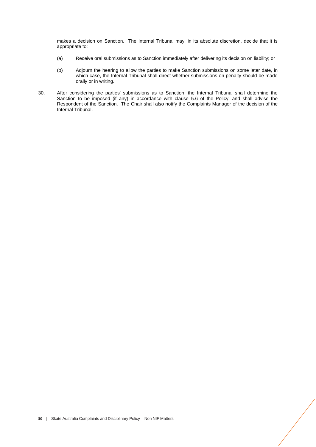makes a decision on Sanction. The Internal Tribunal may, in its absolute discretion, decide that it is appropriate to:

- (a) Receive oral submissions as to Sanction immediately after delivering its decision on liability; or
- (b) Adjourn the hearing to allow the parties to make Sanction submissions on some later date, in which case, the Internal Tribunal shall direct whether submissions on penalty should be made orally or in writing.
- 30. After considering the parties' submissions as to Sanction, the Internal Tribunal shall determine the Sanction to be imposed (if any) in accordance with clause [5.6](#page-13-0) of the Policy, and shall advise the Respondent of the Sanction. The Chair shall also notify the Complaints Manager of the decision of the Internal Tribunal.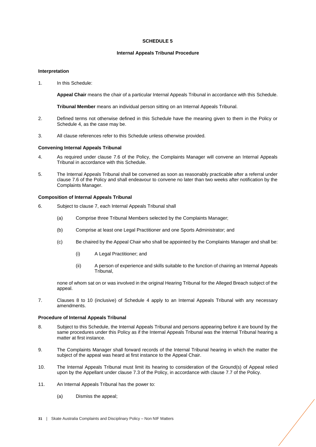## **SCHEDULE 5**

## **Internal Appeals Tribunal Procedure**

## <span id="page-30-0"></span>**Interpretation**

1. In this Schedule:

**Appeal Chair** means the chair of a particular Internal Appeals Tribunal in accordance with this Schedule.

**Tribunal Member** means an individual person sitting on an Internal Appeals Tribunal.

- 2. Defined terms not otherwise defined in this Schedule have the meaning given to them in the Policy or Schedule 4, as the case may be.
- 3. All clause references refer to this Schedule unless otherwise provided.

## **Convening Internal Appeals Tribunal**

- 4. As required under clause [7.6](#page-16-1) of the Policy, the Complaints Manager will convene an Internal Appeals Tribunal in accordance with this Schedule.
- 5. The Internal Appeals Tribunal shall be convened as soon as reasonably practicable after a referral under clause [7.6](#page-16-1) of the Policy and shall endeavour to convene no later than two weeks after notification by the Complaints Manager.

# **Composition of Internal Appeals Tribunal**

- 6. Subject to clause 7, each Internal Appeals Tribunal shall
	- (a) Comprise three Tribunal Members selected by the Complaints Manager;
	- (b) Comprise at least one Legal Practitioner and one Sports Administrator; and
	- (c) Be chaired by the Appeal Chair who shall be appointed by the Complaints Manager and shall be:
		- (i) A Legal Practitioner; and
		- (ii) A person of experience and skills suitable to the function of chairing an Internal Appeals Tribunal,

none of whom sat on or was involved in the original Hearing Tribunal for the Alleged Breach subject of the appeal.

7. Clauses 8 to 10 (inclusive) of Schedule 4 apply to an Internal Appeals Tribunal with any necessary amendments.

# **Procedure of Internal Appeals Tribunal**

- 8. Subject to this Schedule, the Internal Appeals Tribunal and persons appearing before it are bound by the same procedures under this Policy as if the Internal Appeals Tribunal was the Internal Tribunal hearing a matter at first instance.
- 9. The Complaints Manager shall forward records of the Internal Tribunal hearing in which the matter the subject of the appeal was heard at first instance to the Appeal Chair.
- 10. The Internal Appeals Tribunal must limit its hearing to consideration of the Ground(s) of Appeal relied upon by the Appellant under clause [7.3](#page-15-2) of the Policy, in accordance with clause [7.7](#page-16-0) of the Policy.
- 11. An Internal Appeals Tribunal has the power to:
	- (a) Dismiss the appeal;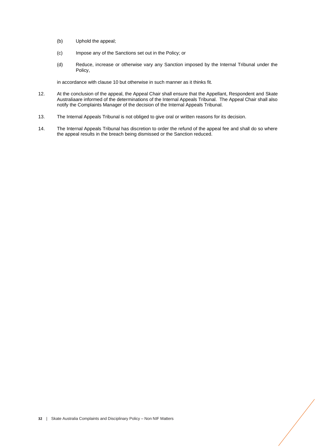- (b) Uphold the appeal;
- (c) Impose any of the Sanctions set out in the Policy; or
- (d) Reduce, increase or otherwise vary any Sanction imposed by the Internal Tribunal under the Policy,

in accordance with clause 10 but otherwise in such manner as it thinks fit.

- 12. At the conclusion of the appeal, the Appeal Chair shall ensure that the Appellant, Respondent and Skate Australiaare informed of the determinations of the Internal Appeals Tribunal. The Appeal Chair shall also notify the Complaints Manager of the decision of the Internal Appeals Tribunal.
- 13. The Internal Appeals Tribunal is not obliged to give oral or written reasons for its decision.
- 14. The Internal Appeals Tribunal has discretion to order the refund of the appeal fee and shall do so where the appeal results in the breach being dismissed or the Sanction reduced.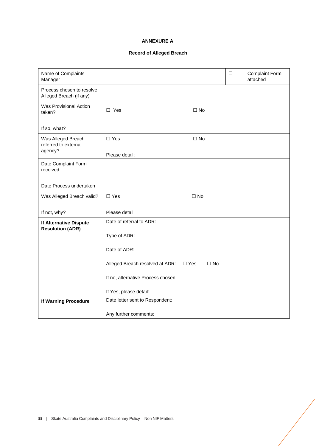# **ANNEXURE A**

# **Record of Alleged Breach**

<span id="page-32-0"></span>

| Name of Complaints<br>Manager                         |                                                       | □ | <b>Complaint Form</b><br>attached |
|-------------------------------------------------------|-------------------------------------------------------|---|-----------------------------------|
| Process chosen to resolve<br>Alleged Breach (if any)  |                                                       |   |                                   |
| Was Provisional Action<br>taken?                      | $\square$ Yes<br>$\square$ No                         |   |                                   |
| If so, what?                                          |                                                       |   |                                   |
| Was Alleged Breach<br>referred to external<br>agency? | $\square$ Yes<br>$\square$ No                         |   |                                   |
|                                                       | Please detail:                                        |   |                                   |
| Date Complaint Form<br>received                       |                                                       |   |                                   |
| Date Process undertaken                               |                                                       |   |                                   |
| Was Alleged Breach valid?                             | $\Box$ Yes<br>$\Box$ No                               |   |                                   |
| If not, why?                                          | Please detail                                         |   |                                   |
| If Alternative Dispute<br><b>Resolution (ADR)</b>     | Date of referral to ADR:                              |   |                                   |
|                                                       | Type of ADR:                                          |   |                                   |
|                                                       | Date of ADR:                                          |   |                                   |
|                                                       | Alleged Breach resolved at ADR: □ Yes<br>$\square$ No |   |                                   |
|                                                       | If no, alternative Process chosen:                    |   |                                   |
|                                                       | If Yes, please detail:                                |   |                                   |
| If Warning Procedure                                  | Date letter sent to Respondent:                       |   |                                   |
|                                                       | Any further comments:                                 |   |                                   |